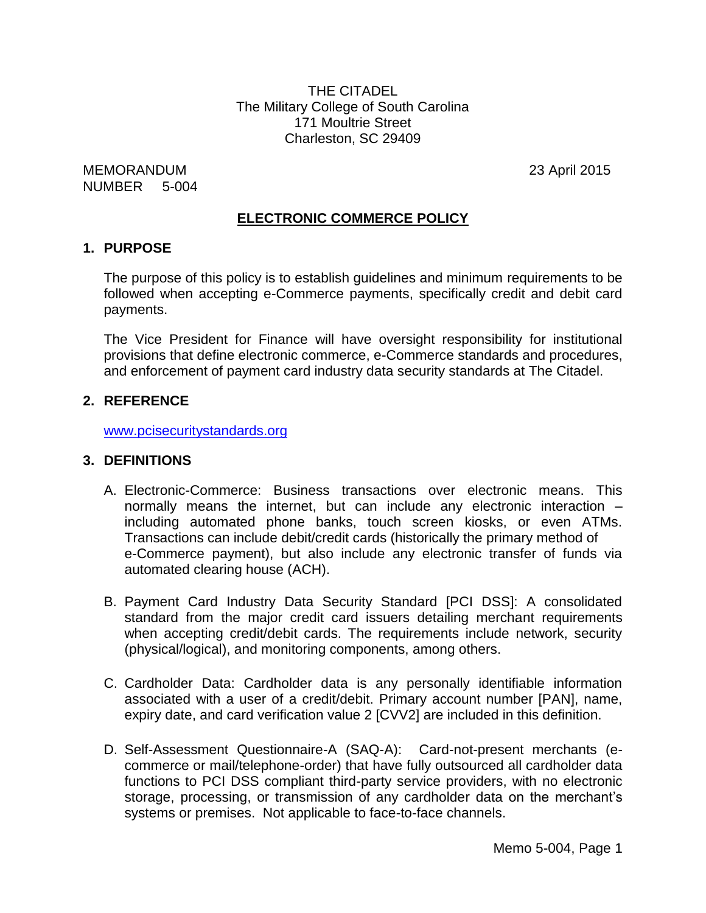THE CITADEL The Military College of South Carolina 171 Moultrie Street Charleston, SC 29409

MEMORANDUM 23 April 2015 NUMBER 5-004

# **ELECTRONIC COMMERCE POLICY**

#### **1. PURPOSE**

The purpose of this policy is to establish guidelines and minimum requirements to be followed when accepting e-Commerce payments, specifically credit and debit card payments.

The Vice President for Finance will have oversight responsibility for institutional provisions that define electronic commerce, e-Commerce standards and procedures, and enforcement of payment card industry data security standards at The Citadel.

## **2. REFERENCE**

[www.pcisecuritystandards.org](http://www.pcisecuritystandards.org/)

#### **3. DEFINITIONS**

- A. Electronic-Commerce: Business transactions over electronic means. This normally means the internet, but can include any electronic interaction – including automated phone banks, touch screen kiosks, or even ATMs. Transactions can include debit/credit cards (historically the primary method of e-Commerce payment), but also include any electronic transfer of funds via automated clearing house (ACH).
- B. Payment Card Industry Data Security Standard [PCI DSS]: A consolidated standard from the major credit card issuers detailing merchant requirements when accepting credit/debit cards. The requirements include network, security (physical/logical), and monitoring components, among others.
- C. Cardholder Data: Cardholder data is any personally identifiable information associated with a user of a credit/debit. Primary account number [PAN], name, expiry date, and card verification value 2 [CVV2] are included in this definition.
- D. Self-Assessment Questionnaire-A (SAQ-A): Card-not-present merchants (ecommerce or mail/telephone-order) that have fully outsourced all cardholder data functions to PCI DSS compliant third-party service providers, with no electronic storage, processing, or transmission of any cardholder data on the merchant's systems or premises. Not applicable to face-to-face channels.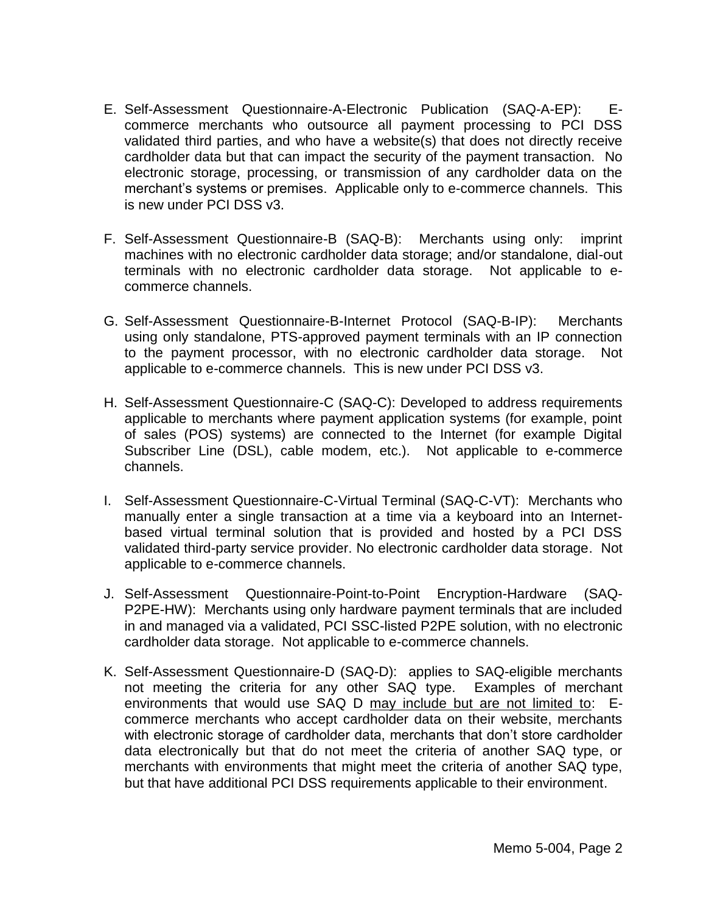- E. Self-Assessment Questionnaire-A-Electronic Publication (SAQ-A-EP): Ecommerce merchants who outsource all payment processing to PCI DSS validated third parties, and who have a website(s) that does not directly receive cardholder data but that can impact the security of the payment transaction. No electronic storage, processing, or transmission of any cardholder data on the merchant's systems or premises. Applicable only to e-commerce channels. This is new under PCI DSS v3.
- F. Self-Assessment Questionnaire-B (SAQ-B): Merchants using only: imprint machines with no electronic cardholder data storage; and/or standalone, dial-out terminals with no electronic cardholder data storage. Not applicable to ecommerce channels.
- G. Self-Assessment Questionnaire-B-Internet Protocol (SAQ-B-IP): Merchants using only standalone, PTS-approved payment terminals with an IP connection to the payment processor, with no electronic cardholder data storage. Not applicable to e-commerce channels. This is new under PCI DSS v3.
- H. Self-Assessment Questionnaire-C (SAQ-C): Developed to address requirements applicable to merchants where payment application systems (for example, point of sales (POS) systems) are connected to the Internet (for example Digital Subscriber Line (DSL), cable modem, etc.). Not applicable to e-commerce channels.
- I. Self-Assessment Questionnaire-C-Virtual Terminal (SAQ-C-VT): Merchants who manually enter a single transaction at a time via a keyboard into an Internetbased virtual terminal solution that is provided and hosted by a PCI DSS validated third-party service provider. No electronic cardholder data storage. Not applicable to e-commerce channels.
- J. Self-Assessment Questionnaire-Point-to-Point Encryption-Hardware (SAQ-P2PE-HW): Merchants using only hardware payment terminals that are included in and managed via a validated, PCI SSC-listed P2PE solution, with no electronic cardholder data storage. Not applicable to e-commerce channels.
- K. Self-Assessment Questionnaire-D (SAQ-D): applies to SAQ-eligible merchants not meeting the criteria for any other SAQ type. Examples of merchant environments that would use SAQ D may include but are not limited to: Ecommerce merchants who accept cardholder data on their website, merchants with electronic storage of cardholder data, merchants that don't store cardholder data electronically but that do not meet the criteria of another SAQ type, or merchants with environments that might meet the criteria of another SAQ type, but that have additional PCI DSS requirements applicable to their environment.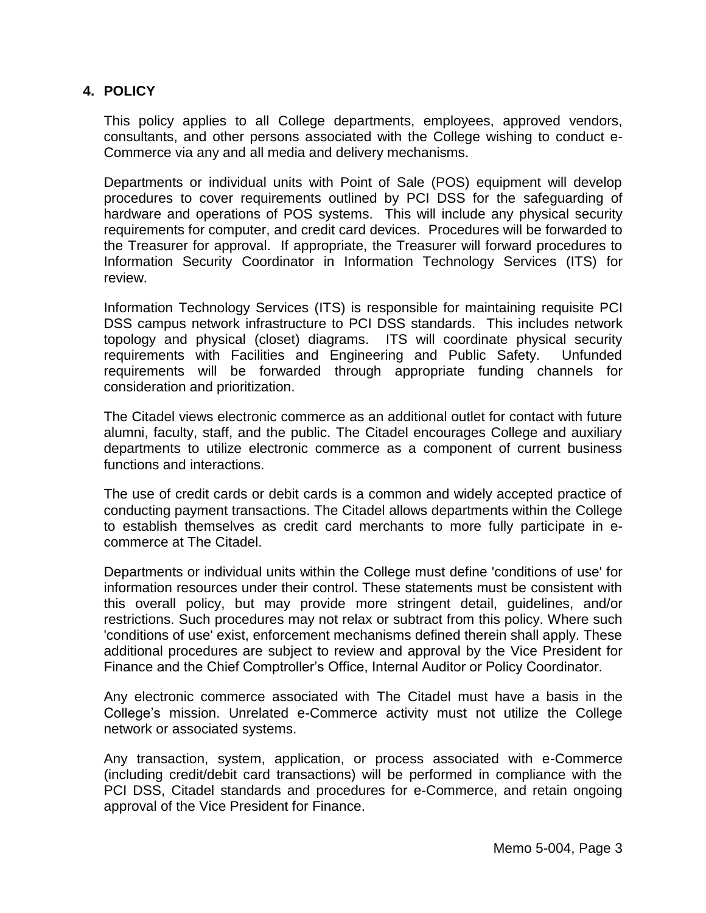# **4. POLICY**

This policy applies to all College departments, employees, approved vendors, consultants, and other persons associated with the College wishing to conduct e-Commerce via any and all media and delivery mechanisms.

Departments or individual units with Point of Sale (POS) equipment will develop procedures to cover requirements outlined by PCI DSS for the safeguarding of hardware and operations of POS systems. This will include any physical security requirements for computer, and credit card devices. Procedures will be forwarded to the Treasurer for approval. If appropriate, the Treasurer will forward procedures to Information Security Coordinator in Information Technology Services (ITS) for review.

Information Technology Services (ITS) is responsible for maintaining requisite PCI DSS campus network infrastructure to PCI DSS standards. This includes network topology and physical (closet) diagrams. ITS will coordinate physical security requirements with Facilities and Engineering and Public Safety. Unfunded requirements will be forwarded through appropriate funding channels for consideration and prioritization.

The Citadel views electronic commerce as an additional outlet for contact with future alumni, faculty, staff, and the public. The Citadel encourages College and auxiliary departments to utilize electronic commerce as a component of current business functions and interactions.

The use of credit cards or debit cards is a common and widely accepted practice of conducting payment transactions. The Citadel allows departments within the College to establish themselves as credit card merchants to more fully participate in ecommerce at The Citadel.

Departments or individual units within the College must define 'conditions of use' for information resources under their control. These statements must be consistent with this overall policy, but may provide more stringent detail, guidelines, and/or restrictions. Such procedures may not relax or subtract from this policy. Where such 'conditions of use' exist, enforcement mechanisms defined therein shall apply. These additional procedures are subject to review and approval by the Vice President for Finance and the Chief Comptroller's Office, Internal Auditor or Policy Coordinator.

Any electronic commerce associated with The Citadel must have a basis in the College's mission. Unrelated e-Commerce activity must not utilize the College network or associated systems.

Any transaction, system, application, or process associated with e-Commerce (including credit/debit card transactions) will be performed in compliance with the PCI DSS, Citadel standards and procedures for e-Commerce, and retain ongoing approval of the Vice President for Finance.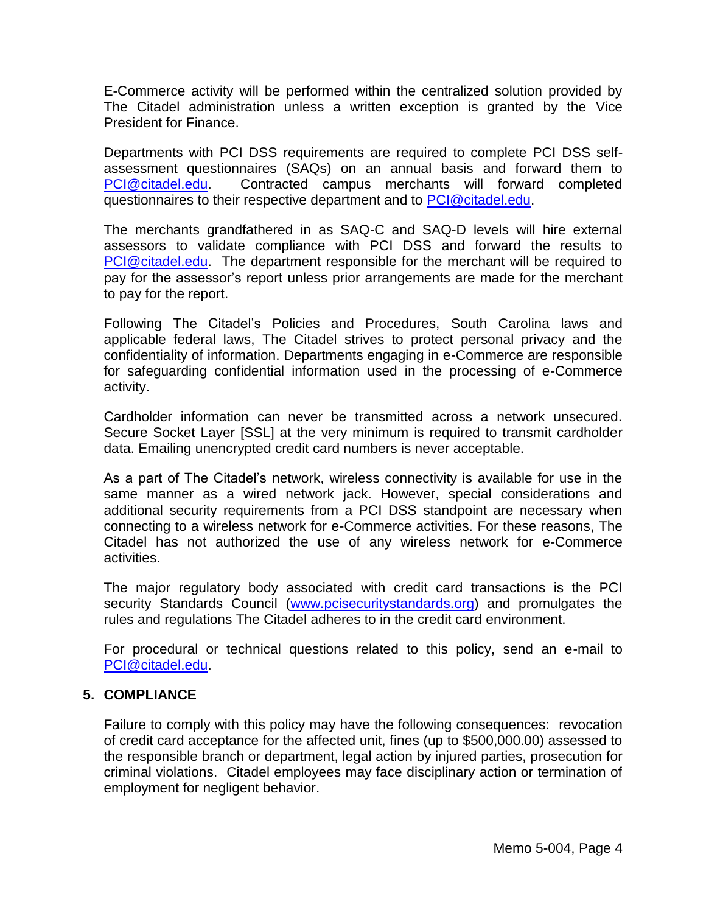E-Commerce activity will be performed within the centralized solution provided by The Citadel administration unless a written exception is granted by the Vice President for Finance.

Departments with PCI DSS requirements are required to complete PCI DSS selfassessment questionnaires (SAQs) on an annual basis and forward them to [PCI@citadel.edu.](mailto:PCI@citadel.edu) Contracted campus merchants will forward completed questionnaires to their respective department and to [PCI@citadel.edu.](mailto:PCI@citadel.edu)

The merchants grandfathered in as SAQ-C and SAQ-D levels will hire external assessors to validate compliance with PCI DSS and forward the results to [PCI@citadel.edu.](mailto:PCI@citadel.edu) The department responsible for the merchant will be required to pay for the assessor's report unless prior arrangements are made for the merchant to pay for the report.

Following The Citadel's Policies and Procedures, South Carolina laws and applicable federal laws, The Citadel strives to protect personal privacy and the confidentiality of information. Departments engaging in e-Commerce are responsible for safeguarding confidential information used in the processing of e-Commerce activity.

Cardholder information can never be transmitted across a network unsecured. Secure Socket Layer [SSL] at the very minimum is required to transmit cardholder data. Emailing unencrypted credit card numbers is never acceptable.

As a part of The Citadel's network, wireless connectivity is available for use in the same manner as a wired network jack. However, special considerations and additional security requirements from a PCI DSS standpoint are necessary when connecting to a wireless network for e-Commerce activities. For these reasons, The Citadel has not authorized the use of any wireless network for e-Commerce activities.

The major regulatory body associated with credit card transactions is the PCI security Standards Council [\(www.pcisecuritystandards.org\)](http://www.pcisecuritystandards.org/) and promulgates the rules and regulations The Citadel adheres to in the credit card environment.

For procedural or technical questions related to this policy, send an e-mail to [PCI@citadel.edu.](mailto:PCI@citadel.edu)

## **5. COMPLIANCE**

Failure to comply with this policy may have the following consequences: revocation of credit card acceptance for the affected unit, fines (up to \$500,000.00) assessed to the responsible branch or department, legal action by injured parties, prosecution for criminal violations. Citadel employees may face disciplinary action or termination of employment for negligent behavior.